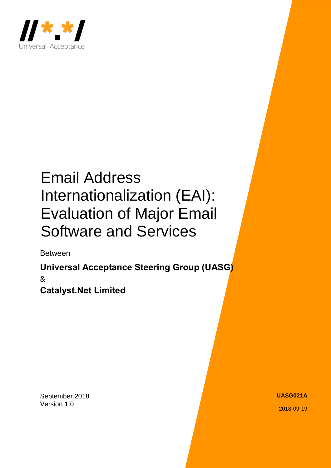

# Email Address Internationalization (EAI): Evaluation of Major Email Software and Services

Between

**Universal Acceptance Steering Group (UASG)**

&

**Catalyst.Net Limited**

September 2018 Version 1.0

**UASG021A**

2018-09-19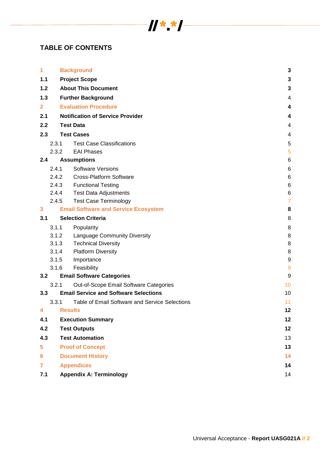# $\frac{1}{\sqrt{1 + \frac{1}{\sqrt{1 + \frac{1}{\sqrt{1 + \frac{1}{\sqrt{1 + \frac{1}{\sqrt{1 + \frac{1}{\sqrt{1 + \frac{1}{\sqrt{1 + \frac{1}{\sqrt{1 + \frac{1}{\sqrt{1 + \frac{1}{\sqrt{1 + \frac{1}{\sqrt{1 + \frac{1}{\sqrt{1 + \frac{1}{\sqrt{1 + \frac{1}{\sqrt{1 + \frac{1}{\sqrt{1 + \frac{1}{\sqrt{1 + \frac{1}{\sqrt{1 + \frac{1}{\sqrt{1 + \frac{1}{\sqrt{1 + \frac{1}{\sqrt{1 + \frac{1}{\sqrt{1 + \frac{1}{\sqrt{1 +$

## **TABLE OF CONTENTS**

| 1                       |                                    | 3<br><b>Background</b>                         |                |  |  |  |  |  |
|-------------------------|------------------------------------|------------------------------------------------|----------------|--|--|--|--|--|
| 1.1                     |                                    | <b>Project Scope</b><br>3                      |                |  |  |  |  |  |
| 1.2                     |                                    | <b>About This Document</b>                     |                |  |  |  |  |  |
| 1.3                     |                                    | <b>Further Background</b>                      |                |  |  |  |  |  |
| $\overline{\mathbf{2}}$ |                                    | <b>Evaluation Procedure</b>                    | 4              |  |  |  |  |  |
| 2.1                     |                                    | <b>Notification of Service Provider</b>        | 4              |  |  |  |  |  |
| 2.2                     |                                    | <b>Test Data</b>                               |                |  |  |  |  |  |
| 2.3                     |                                    | <b>Test Cases</b><br>4                         |                |  |  |  |  |  |
|                         | 2.3.1                              | <b>Test Case Classifications</b>               | 5              |  |  |  |  |  |
|                         | 2.3.2                              | <b>EAI Phases</b>                              |                |  |  |  |  |  |
| 2.4                     |                                    | <b>Assumptions</b>                             | 6              |  |  |  |  |  |
|                         | 2.4.1                              | <b>Software Versions</b>                       |                |  |  |  |  |  |
|                         | 2.4.2                              | <b>Cross-Platform Software</b>                 | 6              |  |  |  |  |  |
|                         | 2.4.3                              | <b>Functional Testing</b>                      | 6              |  |  |  |  |  |
|                         | 2.4.4                              | <b>Test Data Adjustments</b>                   | 6              |  |  |  |  |  |
|                         | 2.4.5                              | <b>Test Case Terminology</b>                   | $\overline{7}$ |  |  |  |  |  |
| 3                       |                                    | <b>Email Software and Service Ecosystem</b>    |                |  |  |  |  |  |
| 3.1                     |                                    | <b>Selection Criteria</b>                      |                |  |  |  |  |  |
|                         | 3.1.1                              | Popularity                                     | 8              |  |  |  |  |  |
|                         | 3.1.2                              | Language Community Diversity                   | 8              |  |  |  |  |  |
|                         | 3.1.3                              | <b>Technical Diversity</b>                     | 8              |  |  |  |  |  |
|                         | <b>Platform Diversity</b><br>3.1.4 |                                                | 8              |  |  |  |  |  |
|                         | 3.1.5<br>Importance                |                                                | 9              |  |  |  |  |  |
|                         | 3.1.6                              | Feasibility                                    | 9              |  |  |  |  |  |
| 3.2                     |                                    | <b>Email Software Categories</b>               | 9              |  |  |  |  |  |
|                         | 3.2.1                              | Out-of-Scope Email Software Categories         | 10             |  |  |  |  |  |
| 3.3                     |                                    | <b>Email Service and Software Selections</b>   | 10             |  |  |  |  |  |
|                         | 3.3.1                              | Table of Email Software and Service Selections | 11             |  |  |  |  |  |
| 4                       |                                    | <b>Results</b>                                 | 12             |  |  |  |  |  |
| 4.1                     |                                    | <b>Execution Summary</b><br>12                 |                |  |  |  |  |  |
| 4.2                     |                                    | <b>Test Outputs</b>                            | 12             |  |  |  |  |  |
| 4.3                     |                                    | <b>Test Automation</b>                         |                |  |  |  |  |  |
| 5                       |                                    | <b>Proof of Concept</b>                        |                |  |  |  |  |  |
| 6                       |                                    | <b>Document History</b>                        |                |  |  |  |  |  |
| $\overline{7}$          |                                    | <b>Appendices</b>                              |                |  |  |  |  |  |
| 7.1                     |                                    | <b>Appendix A: Terminology</b>                 |                |  |  |  |  |  |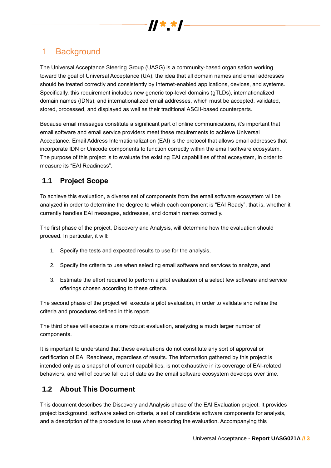

# 1 Background

The Universal Acceptance Steering Group (UASG) is a community-based organisation working toward the goal of Universal Acceptance (UA), the idea that all domain names and email addresses should be treated correctly and consistently by Internet-enabled applications, devices, and systems. Specifically, this requirement includes new generic top-level domains (gTLDs), internationalized domain names (IDNs), and internationalized email addresses, which must be accepted, validated, stored, processed, and displayed as well as their traditional ASCII-based counterparts.

Because email messages constitute a significant part of online communications, it's important that email software and email service providers meet these requirements to achieve Universal Acceptance. Email Address Internationalization (EAI) is the protocol that allows email addresses that incorporate IDN or Unicode components to function correctly within the email software ecosystem. The purpose of this project is to evaluate the existing EAI capabilities of that ecosystem, in order to measure its "EAI Readiness".

## **1.1 Project Scope**

To achieve this evaluation, a diverse set of components from the email software ecosystem will be analyzed in order to determine the degree to which each component is "EAI Ready", that is, whether it currently handles EAI messages, addresses, and domain names correctly.

The first phase of the project, Discovery and Analysis, will determine how the evaluation should proceed. In particular, it will:

- 1. Specify the tests and expected results to use for the analysis,
- 2. Specify the criteria to use when selecting email software and services to analyze, and
- 3. Estimate the effort required to perform a pilot evaluation of a select few software and service offerings chosen according to these criteria.

The second phase of the project will execute a pilot evaluation, in order to validate and refine the criteria and procedures defined in this report.

The third phase will execute a more robust evaluation, analyzing a much larger number of components.

It is important to understand that these evaluations do not constitute any sort of approval or certification of EAI Readiness, regardless of results. The information gathered by this project is intended only as a snapshot of current capabilities, is not exhaustive in its coverage of EAI-related behaviors, and will of course fall out of date as the email software ecosystem develops over time.

## **1.2 About This Document**

This document describes the Discovery and Analysis phase of the EAI Evaluation project. It provides project background, software selection criteria, a set of candidate software components for analysis, and a description of the procedure to use when executing the evaluation. Accompanying this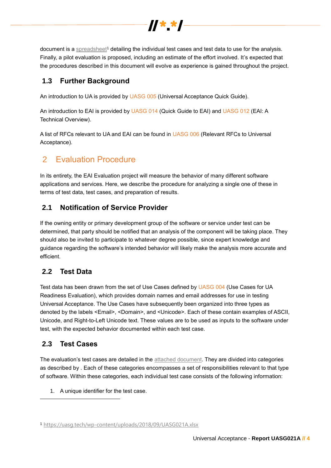

document is a [spreadsheet](https://uasg.tech/wp-content/uploads/2018/09/UASG021A.xlsx)<sup>1</sup> detailing the individual test cases and test data to use for the analysis. Finally, a pilot evaluation is proposed, including an estimate of the effort involved. It's expected that the procedures described in this document will evolve as experience is gained throughout the project.

## **1.3 Further Background**

An introduction to UA is provided by [UASG 005](https://uasg.tech/wp-content/uploads/2016/06/UASG005-160302-en-quickguide-digital.pdf) (Universal Acceptance Quick Guide).

An introduction to EAI is provided by [UASG 014](https://uasg.tech/wp-content/uploads/2017/02/UASG014_20170206.pdf) (Quick Guide to EAI) and [UASG 012](https://uasg.tech/wp-content/uploads/2018/06/UASG012.pdf) (EAI: A Technical Overview).

A list of RFCs relevant to UA and EAI can be found in [UASG 006](https://uasg.tech/wp-content/uploads/2017/06/UA006-Relevant-RFCs.pdf) (Relevant RFCs to Universal Acceptance).

# 2 Evaluation Procedure

In its entirety, the EAI Evaluation project will measure the behavior of many different software applications and services. Here, we describe the procedure for analyzing a single one of these in terms of test data, test cases, and preparation of results.

## **2.1 Notification of Service Provider**

If the owning entity or primary development group of the software or service under test can be determined, that party should be notified that an analysis of the component will be taking place. They should also be invited to participate to whatever degree possible, since expert knowledge and guidance regarding the software's intended behavior will likely make the analysis more accurate and efficient.

## **2.2 Test Data**

Test data has been drawn from the set of Use Cases defined by [UASG 004](https://uasg.tech/wp-content/uploads/2017/05/UASG004-Use-Cases-for-UA-Readiness-Evaluation-2017-04-17.pdf) (Use Cases for UA Readiness Evaluation), which provides domain names and email addresses for use in testing Universal Acceptance. The Use Cases have subsequently been organized into three types as denoted by the labels <Email>, <Domain>, and <Unicode>. Each of these contain examples of ASCII, Unicode, and Right-to-Left Unicode text. These values are to be used as inputs to the software under test, with the expected behavior documented within each test case.

## **2.3 Test Cases**

l

The evaluation's test cases are detailed in the **attached** document. They are divided into categories as described by . Each of these categories encompasses a set of responsibilities relevant to that type of software. Within these categories, each individual test case consists of the following information:

1. A unique identifier for the test case.

<sup>1</sup> <https://uasg.tech/wp-content/uploads/2018/09/UASG021A.xlsx>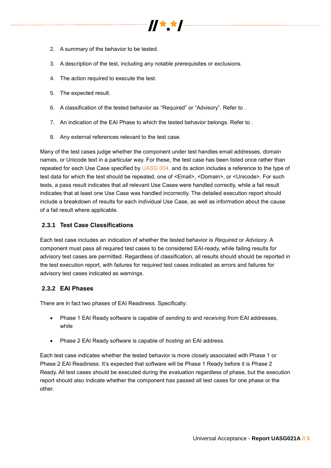

- 2. A summary of the behavior to be tested.
- 3. A description of the test, including any notable prerequisites or exclusions.
- 4. The action required to execute the test.
- 5. The expected result.
- 6. A classification of the tested behavior as "Required" or "Advisory". Refer to .
- 7. An indication of the EAI Phase to which the tested behavior belongs. Refer to .
- 8. Any external references relevant to the test case.

Many of the test cases judge whether the component under test handles email addresses, domain names, or Unicode text in a particular way. For these, the test case has been listed once rather than repeated for each Use Case specified by [UASG 004,](https://uasg.tech/wp-content/uploads/2017/05/UASG004-Use-Cases-for-UA-Readiness-Evaluation-2017-04-17.pdf) and its action includes a reference to the type of test data for which the test should be repeated, one of <Email>, <Domain>, or <Unicode>. For such tests, a pass result indicates that *all* relevant Use Cases were handled correctly, while a fail result indicates that at least one Use Case was handled incorrectly. The detailed execution report should include a breakdown of results for each individual Use Case, as well as information about the cause of a fail result where applicable.

#### **2.3.1 Test Case Classifications**

Each test case includes an indication of whether the tested behavior is *Required* or *Advisory*. A component must pass all required test cases to be considered EAI-ready, while failing results for advisory test cases are permitted. Regardless of classification, all results should should be reported in the test execution report, with failures for required test cases indicated as errors and failures for advisory test cases indicated as warnings.

#### **2.3.2 EAI Phases**

There are in fact two phases of EAI Readiness. Specifically:

- Phase 1 EAI Ready software is capable of *sending to* and *receiving from* EAI addresses, while
- Phase 2 EAI Ready software is capable of *hosting* an EAI address.

Each test case indicates whether the tested behavior is more closely associated with Phase 1 or Phase 2 EAI Readiness. It's expected that software will be Phase 1 Ready before it is Phase 2 Ready. All test cases should be executed during the evaluation regardless of phase, but the execution report should also indicate whether the component has passed all test cases for one phase or the other.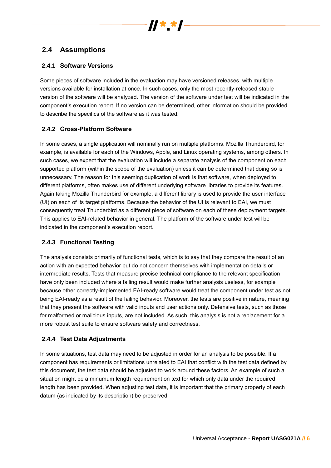

## **2.4 Assumptions**

#### **2.4.1 Software Versions**

Some pieces of software included in the evaluation may have versioned releases, with multiple versions available for installation at once. In such cases, only the most recently-released stable version of the software will be analyzed. The version of the software under test will be indicated in the component's execution report. If no version can be determined, other information should be provided to describe the specifics of the software as it was tested.

#### **2.4.2 Cross-Platform Software**

In some cases, a single application will nominally run on multiple platforms. Mozilla Thunderbird, for example, is available for each of the Windows, Apple, and Linux operating systems, among others. In such cases, we expect that the evaluation will include a separate analysis of the component on each supported platform (within the scope of the evaluation) unless it can be determined that doing so is unnecessary. The reason for this seeming duplication of work is that software, when deployed to different platforms, often makes use of different underlying software libraries to provide its features. Again taking Mozilla Thunderbird for example, a different library is used to provide the user interface (UI) on each of its target platforms. Because the behavior of the UI is relevant to EAI, we must consequently treat Thunderbird as a different piece of software on each of these deployment targets. This applies to EAI-related behavior in general. The platform of the software under test will be indicated in the component's execution report.

#### **2.4.3 Functional Testing**

The analysis consists primarily of functional tests, which is to say that they compare the result of an action with an expected behavior but do not concern themselves with implementation details or intermediate results. Tests that measure precise technical compliance to the relevant specification have only been included where a failing result would make further analysis useless, for example because other correctly-implemented EAI-ready software would treat the component under test as not being EAI-ready as a result of the failing behavior. Moreover, the tests are positive in nature, meaning that they present the software with valid inputs and user actions only. Defensive tests, such as those for malformed or malicious inputs, are not included. As such, this analysis is not a replacement for a more robust test suite to ensure software safety and correctness.

#### **2.4.4 Test Data Adjustments**

In some situations, test data may need to be adjusted in order for an analysis to be possible. If a component has requirements or limitations unrelated to EAI that conflict with the test data defined by this document, the test data should be adjusted to work around these factors. An example of such a situation might be a minumum length requirement on text for which only data under the required length has been provided. When adjusting test data, it is important that the primary property of each datum (as indicated by its description) be preserved.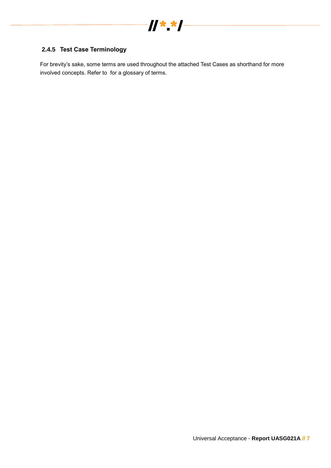

#### **2.4.5 Test Case Terminology**

For brevity's sake, some terms are used throughout the attached Test Cases as shorthand for more involved concepts. Refer to for a glossary of terms.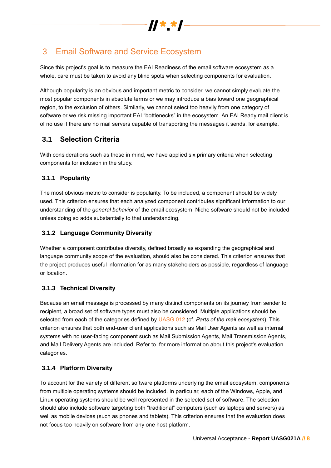

# 3 Email Software and Service Ecosystem

Since this project's goal is to measure the EAI Readiness of the email software ecosystem as a whole, care must be taken to avoid any blind spots when selecting components for evaluation.

Although popularity is an obvious and important metric to consider, we cannot simply evaluate the most popular components in absolute terms or we may introduce a bias toward one geographical region, to the exclusion of others. Similarly, we cannot select too heavily from one category of software or we risk missing important EAI "bottlenecks" in the ecosystem. An EAI Ready mail client is of no use if there are no mail servers capable of transporting the messages it sends, for example.

## **3.1 Selection Criteria**

With considerations such as these in mind, we have applied six primary criteria when selecting components for inclusion in the study.

#### **3.1.1 Popularity**

The most obvious metric to consider is popularity. To be included, a component should be widely used. This criterion ensures that each analyzed component contributes significant information to our understanding of the *general behavior* of the email ecosystem. Niche software should not be included unless doing so adds substantially to that understanding.

#### **3.1.2 Language Community Diversity**

Whether a component contributes diversity, defined broadly as expanding the geographical and language community scope of the evaluation, should also be considered. This criterion ensures that the project produces useful information for as many stakeholders as possible, regardless of language or location.

#### **3.1.3 Technical Diversity**

Because an email message is processed by many distinct components on its journey from sender to recipient, a broad set of software types must also be considered. Multiple applications should be selected from each of the categories defined by [UASG 012](https://uasg.tech/wp-content/uploads/2018/06/UASG012.pdf) (cf. *Parts of the mail ecosystem*). This criterion ensures that both end-user client applications such as Mail User Agents as well as internal systems with no user-facing component such as Mail Submission Agents, Mail Transmission Agents, and Mail Delivery Agents are included. Refer to for more information about this project's evaluation categories.

#### **3.1.4 Platform Diversity**

To account for the variety of different software platforms underlying the email ecosystem, components from multiple operating systems should be included. In particular, each of the Windows, Apple, and Linux operating systems should be well represented in the selected set of software. The selection should also include software targeting both "traditional" computers (such as laptops and servers) as well as mobile devices (such as phones and tablets). This criterion ensures that the evaluation does not focus too heavily on software from any one host platform.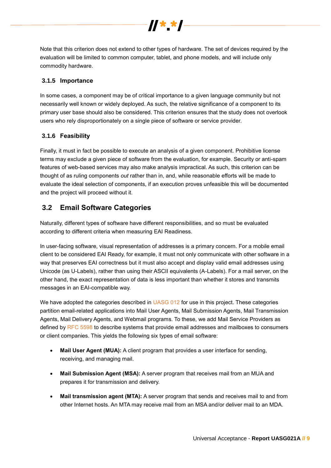

 $\frac{1}{x}$ 

#### **3.1.5 Importance**

In some cases, a component may be of critical importance to a given language community but not necessarily well known or widely deployed. As such, the relative significance of a component to its primary user base should also be considered. This criterion ensures that the study does not overlook users who rely disproportionately on a single piece of software or service provider.

#### **3.1.6 Feasibility**

Finally, it must in fact be possible to execute an analysis of a given component. Prohibitive license terms may exclude a given piece of software from the evaluation, for example. Security or anti-spam features of web-based services may also make analysis impractical. As such, this criterion can be thought of as ruling components *out* rather than in, and, while reasonable efforts will be made to evaluate the ideal selection of components, if an execution proves unfeasible this will be documented and the project will proceed without it.

#### **3.2 Email Software Categories**

Naturally, different types of software have different responsibilities, and so must be evaluated according to different criteria when measuring EAI Readiness.

In user-facing software, visual representation of addresses is a primary concern. For a mobile email client to be considered EAI Ready, for example, it must not only communicate with other software in a way that preserves EAI correctness but it must also accept and display valid email addresses using Unicode (as U-Labels), rather than using their ASCII equivalents (A-Labels). For a mail server, on the other hand, the exact representation of data is less important than whether it stores and transmits messages in an EAI-compatible way.

We have adopted the categories described in [UASG 012](https://uasg.tech/wp-content/uploads/2018/06/UASG012.pdf) for use in this project. These categories partition email-related applications into Mail User Agents, Mail Submission Agents, Mail Transmission Agents, Mail Delivery Agents, and Webmail programs. To these, we add Mail Service Providers as defined by [RFC 5598](https://tools.ietf.org/html/rfc5598) to describe systems that provide email addresses and mailboxes to consumers or client companies. This yields the following six types of email software:

- **Mail User Agent (MUA):** A client program that provides a user interface for sending, receiving, and managing mail.
- **Mail Submission Agent (MSA):** A server program that receives mail from an MUA and prepares it for transmission and delivery.
- **Mail transmission agent (MTA):** A server program that sends and receives mail to and from other Internet hosts. An MTA may receive mail from an MSA and/or deliver mail to an MDA.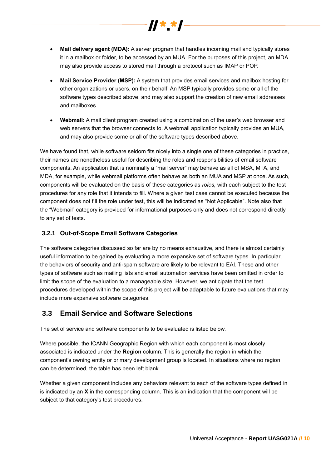

 $\frac{1}{2}$   $\frac{1}{2}$   $\frac{1}{2}$   $\frac{1}{2}$   $\frac{1}{2}$   $\frac{1}{2}$   $\frac{1}{2}$   $\frac{1}{2}$   $\frac{1}{2}$   $\frac{1}{2}$ 

- **Mail Service Provider (MSP):** A system that provides email services and mailbox hosting for other organizations or users, on their behalf. An MSP typically provides some or all of the software types described above, and may also support the creation of new email addresses and mailboxes.
- **Webmail:** A mail client program created using a combination of the user's web browser and web servers that the browser connects to. A webmail application typically provides an MUA, and may also provide some or all of the software types described above.

We have found that, while software seldom fits nicely into a single one of these categories in practice, their names are nonetheless useful for describing the roles and responsibilities of email software components. An application that is nominally a "mail server" may behave as all of MSA, MTA, and MDA, for example, while webmail platforms often behave as both an MUA and MSP at once. As such, components will be evaluated on the basis of these categories as *roles,* with each subject to the test procedures for any role that it intends to fill. Where a given test case cannot be executed because the component does not fill the role under test, this will be indicated as "Not Applicable". Note also that the "Webmail" category is provided for informational purposes only and does not correspond directly to any set of tests.

#### **3.2.1 Out-of-Scope Email Software Categories**

The software categories discussed so far are by no means exhaustive, and there is almost certainly useful information to be gained by evaluating a more expansive set of software types. In particular, the behaviors of security and anti-spam software are likely to be relevant to EAI. These and other types of software such as mailing lists and email automation services have been omitted in order to limit the scope of the evaluation to a manageable size. However, we anticipate that the test procedures developed within the scope of this project will be adaptable to future evaluations that may include more expansive software categories.

#### **3.3 Email Service and Software Selections**

The set of service and software components to be evaluated is listed below.

Where possible, the ICANN Geographic Region with which each component is most closely associated is indicated under the **Region** column. This is generally the region in which the component's owning entity or primary development group is located. In situations where no region can be determined, the table has been left blank.

Whether a given component includes any behaviors relevant to each of the software types defined in is indicated by an **X** in the corresponding column. This is an indication that the component will be subject to that category's test procedures.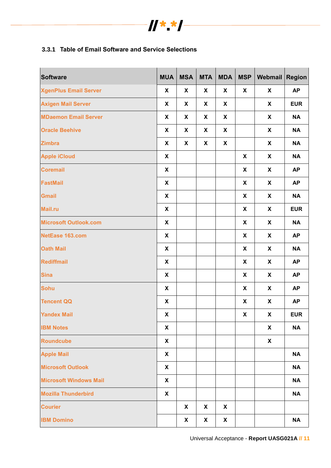

#### **3.3.1 Table of Email Software and Service Selections**

| <b>Software</b>               |              | <b>MSA</b>                | <b>MTA</b> | <b>MDA</b>   | <b>MSP</b>                | Webmail Region |            |
|-------------------------------|--------------|---------------------------|------------|--------------|---------------------------|----------------|------------|
| <b>XgenPlus Email Server</b>  |              | X                         | X          | X            | $\boldsymbol{X}$          | X              | <b>AP</b>  |
| <b>Axigen Mail Server</b>     |              | X                         | X          | X            |                           | X              | <b>EUR</b> |
| <b>MDaemon Email Server</b>   | X            | X                         | X          | X            |                           | X              | <b>NA</b>  |
| <b>Oracle Beehive</b>         | $\mathbf{X}$ | $\boldsymbol{\mathsf{X}}$ | X          | $\mathbf x$  |                           | X              | <b>NA</b>  |
| <b>Zimbra</b>                 | $\mathbf{X}$ | X                         | X          | $\mathbf{x}$ |                           | X              | <b>NA</b>  |
| <b>Apple iCloud</b>           | X            |                           |            |              | $\boldsymbol{\mathsf{X}}$ | X              | <b>NA</b>  |
| <b>Coremail</b>               | $\mathbf{X}$ |                           |            |              | $\boldsymbol{\mathsf{X}}$ | X              | <b>AP</b>  |
| <b>FastMail</b>               | $\mathbf{X}$ |                           |            |              | $\boldsymbol{\mathsf{X}}$ | X              | <b>AP</b>  |
| <b>Gmail</b>                  |              |                           |            |              | $\boldsymbol{\mathsf{X}}$ | X              | <b>NA</b>  |
| Mail.ru                       | $\mathsf{X}$ |                           |            |              | $\boldsymbol{\mathsf{X}}$ | X              | <b>EUR</b> |
| <b>Microsoft Outlook.com</b>  |              |                           |            |              | $\boldsymbol{\mathsf{X}}$ | X              | <b>NA</b>  |
| NetEase 163.com               | $\mathsf{X}$ |                           |            |              | $\boldsymbol{\mathsf{X}}$ | X              | <b>AP</b>  |
| <b>Oath Mail</b>              |              |                           |            |              | X                         | X              | <b>NA</b>  |
| <b>Rediffmail</b>             |              |                           |            |              | X                         | X              | <b>AP</b>  |
| <b>Sina</b>                   |              |                           |            |              | $\boldsymbol{\mathsf{X}}$ | X              | <b>AP</b>  |
| <b>Sohu</b>                   | $\mathbf{X}$ |                           |            |              | X                         | X              | <b>AP</b>  |
| <b>Tencent QQ</b>             |              |                           |            |              | X                         | X              | <b>AP</b>  |
| <b>Yandex Mail</b>            |              |                           |            |              | X                         | X              | <b>EUR</b> |
| <b>IBM Notes</b>              |              |                           |            |              |                           | X              | <b>NA</b>  |
| <b>Roundcube</b>              |              |                           |            |              |                           | $\mathbf{x}$   |            |
| <b>Apple Mail</b>             |              |                           |            |              |                           |                | <b>NA</b>  |
| <b>Microsoft Outlook</b>      |              |                           |            |              |                           |                | <b>NA</b>  |
| <b>Microsoft Windows Mail</b> |              |                           |            |              |                           |                | <b>NA</b>  |
| <b>Mozilla Thunderbird</b>    |              |                           |            |              |                           |                | <b>NA</b>  |
| <b>Courier</b>                |              | $\boldsymbol{\mathsf{X}}$ | X          | X            |                           |                |            |
| <b>IBM Domino</b>             |              | X                         | X          | X            |                           |                | <b>NA</b>  |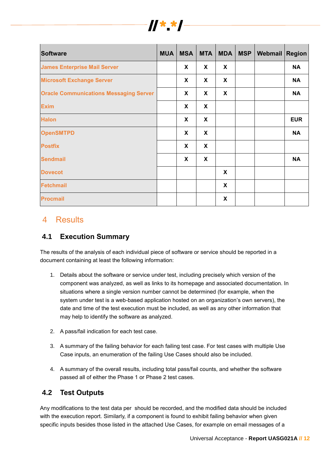

| <b>Software</b>                               | <b>MUA</b> | <b>MSA</b> | <b>MTA</b> | <b>MDA</b> | <b>MSP</b> | Webmail Region |            |
|-----------------------------------------------|------------|------------|------------|------------|------------|----------------|------------|
| <b>James Enterprise Mail Server</b>           |            | X          | X          | X          |            |                | <b>NA</b>  |
| <b>Microsoft Exchange Server</b>              |            | X          | X          | X          |            |                | <b>NA</b>  |
| <b>Oracle Communications Messaging Server</b> |            | X          | X          | X          |            |                | <b>NA</b>  |
| <b>Exim</b>                                   |            | X          | X          |            |            |                |            |
| <b>Halon</b>                                  |            | X          | X          |            |            |                | <b>EUR</b> |
| <b>OpenSMTPD</b>                              |            | X          | X          |            |            |                | <b>NA</b>  |
| <b>Postfix</b>                                |            | X          | X          |            |            |                |            |
| <b>Sendmail</b>                               |            | X          | X          |            |            |                | <b>NA</b>  |
| <b>Dovecot</b>                                |            |            |            | X          |            |                |            |
| Fetchmail                                     |            |            |            | X          |            |                |            |
| <b>Procmail</b>                               |            |            |            | X          |            |                |            |

## 4 Results

## **4.1 Execution Summary**

The results of the analysis of each individual piece of software or service should be reported in a document containing at least the following information:

- 1. Details about the software or service under test, including precisely which version of the component was analyzed, as well as links to its homepage and associated documentation. In situations where a single version number cannot be determined (for example, when the system under test is a web-based application hosted on an organization's own servers), the date and time of the test execution must be included, as well as any other information that may help to identify the software as analyzed.
- 2. A pass/fail indication for each test case.
- 3. A summary of the failing behavior for each failing test case. For test cases with multiple Use Case inputs, an enumeration of the failing Use Cases should also be included.
- 4. A summary of the overall results, including total pass/fail counts, and whether the software passed all of either the Phase 1 or Phase 2 test cases.

## **4.2 Test Outputs**

Any modifications to the test data per should be recorded, and the modified data should be included with the execution report. Similarly, if a component is found to exhibit failing behavior when given specific inputs besides those listed in the attached Use Cases, for example on email messages of a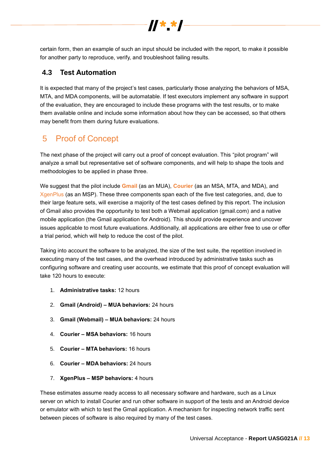certain form, then an example of such an input should be included with the report, to make it possible for another party to reproduce, verify, and troubleshoot failing results.

 $\frac{1}{x}$ 

## **4.3 Test Automation**

It is expected that many of the project's test cases, particularly those analyzing the behaviors of MSA, MTA, and MDA components, will be automatable. If test executors implement any software in support of the evaluation, they are encouraged to include these programs with the test results, or to make them available online and include some information about how they can be accessed, so that others may benefit from them during future evaluations.

## 5 Proof of Concept

The next phase of the project will carry out a proof of concept evaluation. This "pilot program" will analyze a small but representative set of software components, and will help to shape the tools and methodologies to be applied in phase three.

We suggest that the pilot include **[Gmail](https://www.google.com/gmail/)** (as an MUA), **[Courier](https://www.courier-mta.org/)** (as an MSA, MTA, and MDA), and [XgenPlus](https://www.xgenplus.com/) (as an MSP). These three components span each of the five test categories, and, due to their large feature sets, will exercise a majority of the test cases defined by this report. The inclusion of Gmail also provides the opportunity to test both a Webmail application (gmail.com) and a native mobile application (the Gmail application for Android). This should provide experience and uncover issues applicable to most future evaluations. Additionally, all applications are either free to use or offer a trial period, which will help to reduce the cost of the pilot.

Taking into account the software to be analyzed, the size of the test suite, the repetition involved in executing many of the test cases, and the overhead introduced by administrative tasks such as configuring software and creating user accounts, we estimate that this proof of concept evaluation will take 120 hours to execute:

- 1. **Administrative tasks:** 12 hours
- 2. **Gmail (Android) – MUA behaviors:** 24 hours
- 3. **Gmail (Webmail) – MUA behaviors:** 24 hours
- 4. **Courier – MSA behaviors:** 16 hours
- 5. **Courier – MTA behaviors:** 16 hours
- 6. **Courier – MDA behaviors:** 24 hours
- 7. **XgenPlus – MSP behaviors:** 4 hours

These estimates assume ready access to all necessary software and hardware, such as a Linux server on which to install Courier and run other software in support of the tests and an Android device or emulator with which to test the Gmail application. A mechanism for inspecting network traffic sent between pieces of software is also required by many of the test cases.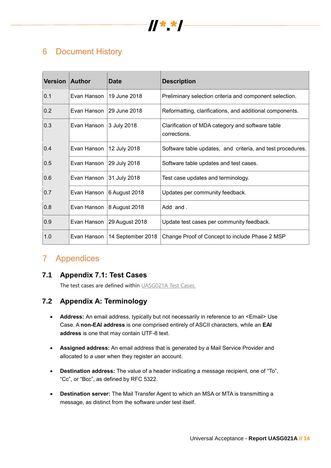

# 6 Document History

| <b>Version</b> | <b>Author</b> | <b>Date</b>       | <b>Description</b>                                               |
|----------------|---------------|-------------------|------------------------------------------------------------------|
| 0.1            | Evan Hanson   | 19 June 2018      | Preliminary selection criteria and component selection.          |
| 0.2            | Evan Hanson   | 29 June 2018      | Reformatting, clarifications, and additional components.         |
| 0.3            | Evan Hanson   | 3 July 2018       | Clarification of MDA category and software table<br>corrections. |
| 0.4            | Evan Hanson   | 12 July 2018      | Software table updates, and criteria, and test procedures.       |
| 0.5            | Evan Hanson   | 29 July 2018      | Software table updates and test cases.                           |
| 0.6            | Evan Hanson   | 31 July 2018      | Test case updates and terminology.                               |
| 0.7            | Evan Hanson   | 6 August 2018     | Updates per community feedback.                                  |
| 0.8            | Evan Hanson   | 8 August 2018     | Add and.                                                         |
| 0.9            | Evan Hanson   | 29 August 2018    | Update test cases per community feedback.                        |
| 1.0            | Evan Hanson   | 14 September 2018 | Change Proof of Concept to include Phase 2 MSP                   |

## 7 Appendices

## **7.1 Appendix 7.1: Test Cases**

The test cases are defined within [UASG021A Test Cases.](https://uasg.tech/wp-content/uploads/2018/09/UASG021A.xlsx)

## **7.2 Appendix A: Terminology**

- **Address:** An email address, typically but not necessarily in reference to an <Email> Use Case. A **non-EAI address** is one comprised entirely of ASCII characters, while an **EAI address** is one that may contain UTF-8 text.
- **Assigned address:** An email address that is generated by a Mail Service Provider and allocated to a user when they register an account.
- **Destination address:** The value of a header indicating a message recipient, one of "To", "Cc", or "Bcc", as defined by RFC 5322.
- **Destination server:** The Mail Transfer Agent to which an MSA or MTA is transmitting a message, as distinct from the software under test itself.